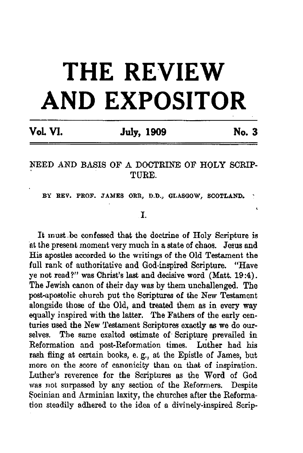# **THE REVIEW AND EXPOSITOR**

| Vol. VI. | <b>July, 1909</b> | No. 3 |
|----------|-------------------|-------|
|          |                   |       |

# NEED AND BASIS OF A DOCTRINE OF HOLY SCRIP- . TURE.

BY REV. PROF. JAMES ORR, D.D., GLASGOW, SCOTLAND.

### I.

It must be confessed that the doctrine of Holy Scripture is nt the present moment very much in a state of chaos. Jesus and His apostles accorded to the writings of the Old Testament the full rank of authoritative and God-inspired Scripture. "Have ve not read?" was Christ's last and decisive word (Matt. 19:4). The Jewish canon of their day was by them unchallenged. The post-apostolic church put the Scriptures of the New Testament alongside those of the Old, and treated them as in every way equally inspired with the latter. The Fathers of the early centuries used the New Testament Scriptures exactly as we do ourselves. The same exalted estimate of Scripture prevailed in Reformation and post-Reformation times. Luther had his rash fling at certain books, e. g., at the Epistle of James, but more on the score of canonicity than on that of inspiration. Luther's reverence for the Scriptures as the Word of God was not surpassed by any seetion of the Reformers. Despite Socinian and Arminian laxity, the churches after the Reformation steadily adhered to the idea of a divinely-inspired Scrip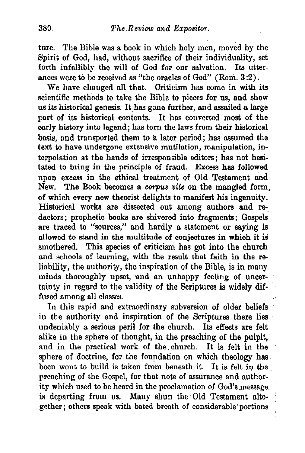ture. The Bible was a book in which holy men, moved by the Spirit of God, had, without sacrifice of their individuality, set forth infallibly the will of God for our salvation. Its utterances were to be received as "the oracles of God" (Rom. 3:2).

We have changed all that. Criticism has come in with its scientific methods to take the Bible to pieces for us, and show us its historical genesis. It has gone further, and assailed a large part of its historical contents. It has converted most of the early history into legend; has torn the laws from their historical basis, and transported them to a later period; has assumed the text to have undergone extensive mutilation, manipulation, interpolation at the hands of irresponsible editors; has not hesitated to bring in the principle of fraud. Excess has followed upon excess in the ethical treatment of Old Testament and New. The Book becomes a corpus vile on the mangled form. of which every new theorist delights to manifest his ingenuity. Historical works are dissected out among authors and redactors; prophetic books are shivered into fragments; Gospels are traced to "sources," and hardly a statement or saying is allowed to stand in the multitude of conjectures in which it is smothered. This species of criticism has got into the church and schools of learning, with the result that faith in the reliability, the authority, the inspiration of the Bible, is in many minds thoroughly upset, and an unhappy feeling of uncertainty in regard to the validity of the Scriptures is widely diffused among all classes.

In this rapid and extraordinary subversion of older beliefs in the authority and inspiration of the Scriptures there lies undeniably a serious peril for the church. Its effects are felt alike in the sphere of thought, in the preaching of the pulpit. and in the practical work of the church. It is felt in the sphere of doctrine, for the foundation on which theology has been wont to build is taken from beneath it. It is felt in the preaching of the Gospel, for that note of assurance and authority which used to be heard in the proclamation of God's message. is departing from us. Many shun the Old Testament altogether; others speak with bated breath of considerable portions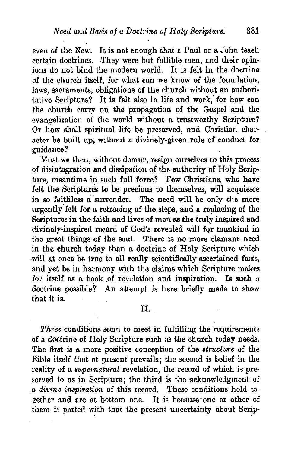even of the New. It is not enough that a Paul or a John teach certain doctrines. They were but fallible men, and their opinions do not bind the modern world. It is felt in the doctrine of the church itself, for what can we know of the foundation. laws, sacraments, obligations of the church without an authoritative Scripture? It is felt also in life and work, for how can the church carry on the propagation of the Gospel and the evangelization of the world without a trustworthy Scripture? Or how shall spiritual life be preserved, and Christian character be built up, without a divinely-given rule of conduct for guidance?

Must we then, without demur, resign ourselves to this process of disintegration and dissipation of the authority of Holy Scripture, meantime in such full force? Few Christians, who have felt the Scriptures to be precious to themselves, will acquiesce in so faithless a surrender. The need will be only the more urgently felt for a retracing of the steps, and a replacing of the Scriptures in the faith and lives of men as the truly inspired and divinely-inspired record of God's revealed will for mankind in the great things of the soul. There is no more clamant need in the church today than a doctrine of Holy Scripture which will at once be true to all really scientifically-ascertained facts, and vet be in harmony with the claims which Scripture makes for itself as a book of revelation and inspiration. Is such a doctrine possible? An attempt is here briefly made to show that it is.

## TT.

Three conditions seem to meet in fulfilling the requirements of a doctrine of Holy Scripture such as the church today needs. The first is a more positive conception of the structure of the Bible itself that at present prevails; the second is belief in the reality of a supernatural revelation, the record of which is preserved to us in Scripture; the third is the acknowledgment of a divine inspiration of this record. These conditions hold together and are at bottom one. It is because one or other of them is parted with that the present uncertainty about Scrip-

381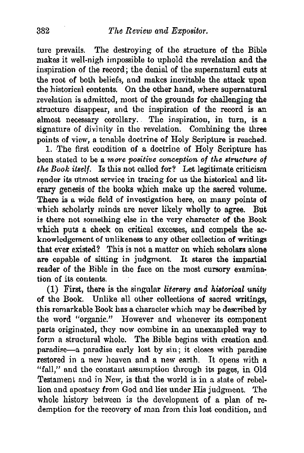ture prevails. The destroying of the structure of the Bible makes it well-nigh impossible to uphold the revelation and the inspiration of the record; the denial of the snpernatural cuts at the root of both beliefs, and makes inevitable the attack upon the historicnl contents. On the other hand, where supernatural revelution is admitted, most of the grounds for challenging the structure disappear, and the inspiration of the record is an almost necessary corollary. The inspiration, in turn, is a signature of divinity in the revelation. Combining the three points of view, n tenable doctrine of Holy Scripture is reached.

1. The first condition of a doctrine of Holy Scripture has been stated to be a *more positive conception of the structure of the Book itself.* Is this not called for? Let legitimate criticism render its utmost service in tracing for us the historical and literary genesis of the books which make up the sacred volume. There is a wide field of investigation here, on many points of which scholarly minds are never likely wholly to agree. But is there not something else in the very character of the Book which puts a check on critical excesses, and compels the acknowledgement of unlikeness to any other collection of writings that ever existed? This is not a matter on which scholars alone are capable of sitting in judgment. It stares the impartial reader of the Bible in the face on the most cursory examination of its contents.

(1) First, there is the singular *literary* and *historical unity* of the Book. Unlike all other collections of sacred writings, this remarkable Book has a character which may be described by the word "organic." However and whenever its component parts originated, they now combine in an unexampled way to form a structural whole. The Bible begins with creation and. paradise- $a$  paradise early lost by  $sin$ ; it closes with paradise restored in a new heaven and a new earth. It opens with n "fall," and the constant assumption through its pages, in Old Testament and in New, is that the world is in a state of rebellion and apostacy from God and lies under His judgment. The whole history between is the development of a plan of redemption for the recovery of man from this lost condition, and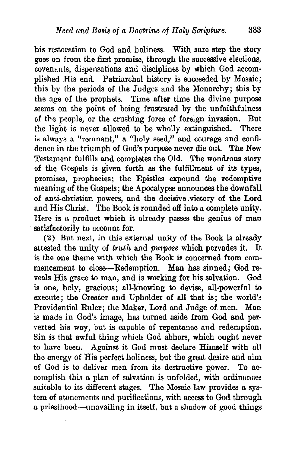his restoration to God and holiness. With sure step the story goes on from the first promise, through the successive elections, covenants, dispensations and disciplines by which God accomplished His end. Patriarchal history is succeeded by Mosaic; this by the periods of the Judges und the Monarchy; this by the age of the prophets. Time after time the divine purpose seems on the point of being frustrated by the unfaithfulness of the people, or the crushing force of foreign invasion. But the light is never allowed to be wholly extinguished. There is always a "remnant," a "holy seed," and courage and confidence in the triumph of God's purpose never die out. The New Testament fulfills and completes the Old. The wondrous story of the Gospels is given forth as the fulflllment of its types, promises, prophecies; the Epistles expound the redemptive meaning of the Gospels; the Apocalypse announces the downfall of anti-christian powers, and the decisive .victory of the Lord and His Christ. The Book is rounded off into a complete unity. Here is a product which it already passes the genius of man satisfactorily to account for.

(2) Hut next, in this external unity of the Book is already attested the unity of *truth* and *purpose* which pervades it. It is the one theme with which the Book is concerned from commencement to close-Redemption. Man has sinned; God reveals His grace to man, and is working for his salvation. God is one, holy, gracious; all-knowing to devise, all-powerful to execute; the Creator and Upholder of all that is; the world's Providential Ruler; the Maker, Lord and Judge of men. Man *is* made in God's image, has turned aside from God and perverted his way, but is capable of repentance and redemption. Sin is that awful thing which God abhors, which ought never to have been. Against it God must declare Himself with all the energy of His perfect holiness, but the great desire and aim of God is to deliver men from its destructive power. To accomplish this a plan of salvation is unfolded, with ordinances suitable to its different stages. The Mosaic law provides a system of atonements and purifications, with access to God through a priesthood-unavailing in itself, but a shadow of good things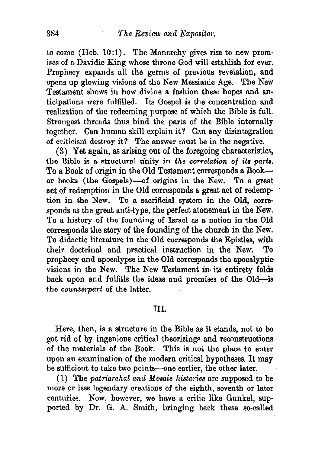to come (Heb.  $10:1$ ). The Monarchy gives rise to new promises of a Davidic King whose throne God will establish for ever. Prophecy expands all the germs of previous revelation, and opens up glowing visions of the New Messianic Age. The New Testament shows in how divine a fashion these hopes and anticipations were fulfilled. Its Gospel is the concentration and realization of the redeeming purpose of which the Bible is full. Strongest threuds thus bind the parts of the Bible internally together. Can human skill explain it? Can any disintegration of criticism destroy it? The answer must be in the negative.

 $(3)$  Yet again, as arising out of the foregoing characteristics, the Bible is a structural unity in *the correlation of its parts*. To a Book of origin in the Old Testament corresponds a Bookor books (the Gospels)-of origins in the New. To a great act of redemption in the Old corresponds a great act of redemption in the New. To a sacrificial system in the Old, corresponds as the great anti-type, the perfect atonement in the New. To a history of the founding of Israel us a nation in the Old corresponds tho story of the founding of the church in the New. To didactic literature in the Old corresponds the Epistles, with their doctrinal and practical instruction in the New. To prophecy and apocalypse in the Old corresponds the apocalyptic· visions in the New. The New Testament in its entirety folds back upon and fulfills the ideas and promises of the Old-is the *counterpart* of the latter.

#### **III**

Here, then, is a structure in the Bible as it stands, not to be got rid of by ingenious critical theorizings and reconstructions of the materials of the Book. This is not the place to enter upon an examination of thc modem critical hypotheses. It may be sufficient to take two points-one earlier, the other later.

(1) 'rhe *patriarchal and Mosaic hi8to?'ie8* are supposed to be more or less legendary creations of the eighth, seventh or later centuries. Now, however, we have a critic like Gunkel, supported by Dr. G. A. Smith, bringing back these so-called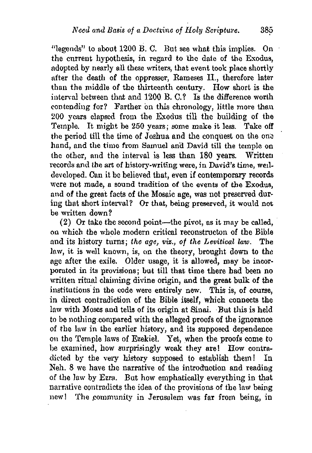"legends" lo about 1200 B. C. Hut see what this implies. On the current hypothesis, in regard to the date of the Exodus, adopted by nearly all these writers, that event took place shortly after the death of the oppresser, Rameses II., therefore later than the middle of the thirteenth century. How short is the interval between that and  $1200 \text{ B}$ , C.? Is the difference worth contending for? Farther on this chronology, little more than 200 years elapsed from the Exodus till the building of the Temple. It might he 250 years; some make it less. Take off the period till the time of Joshua and the conquest on the one. hand, and the time from Samuel and David till the temple on the otber, and the interval is less than 180 years. Written records and the art of history-writing were, in David's time, weildeveloped. Can it be believed that, even if contemporary records were not made, a sound tradition of the events of the Exodus, and of the great facts of the Mosaic age, was not preserved during that short interval? Or that, being preserved, it would not be written down?

(2) Or take the second point—the pivot, as it may be called, on which the whole modern critical reconstructon of the Bible and its history turns; *the age, viz., of the Levitical* law. The law, it is well known, is, on the theory, brought down to the age after the exile. Older usage, it is allowed, may be incorporated in its provisions; but till that time there had been no written ritual claiming divine origin, and the great bulk of the institutions in the code were entirely new. This is, of course, in direct contradiction of the Bible itself, which connects the law with Moses and tells of its origin at Sinai. . But this is held to be nothing compared with the alleged proofs of the ignorance of the law in the earlier history, and its supposed dependence on the 'l'emple laws of Ezekiel. Yet, when the proofs come to he examined, how surprisingly weak they are! How contradicted by the very history supposed to establish them! In Neh. 8 we have the narrative of the introduction and reading of the law by Ezra. But how emphatically everything in that Darrative contradicts the idea of the provisions of the law being new! The community in Jerusalem was far from being, in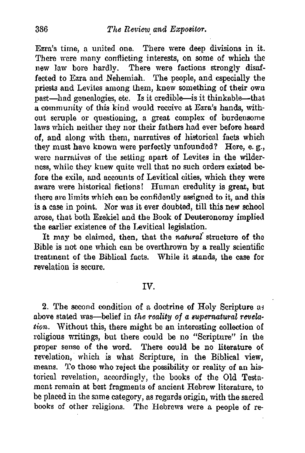Ezra's time, a united one. There were deep divisions in it. There were many conflicting interests, on some of which the new law bore hardly. There were factions strongly disaffected to Ezra and Nehemiah. The people, and especially the priests and Levites among them, knew something of their own past-had genealogies, etc. Is it credible-is it thinkable-that a community of this kind would receive at Ezra's hands, without scruple or questioning, a great complex of burdensome laws which neither they nor their fathers had ever before heard of, and along with them, narratives of historical facts which they must have known were perfectly unfounded? Here, e. g., were narratives of the setting apart of Levites in the wilderness, while they knew quite well that no such orders existed before the exile, and accounts of Levitical cities, which they were aware were historical fictions! Human credulity is great, but there are limits which can be confidently assigned to it, and this is a case in point. Nor was it ever doubted, till this new school arose, that both Ezekiel and the Book of Deuteronomy implied the earlier existence of the Levitical legislation.

It may be claimed, then, that the *natural'* structure of the Bible is not one which can be overthrown by a really scientific treatment of the Biblical facts. While it stands, the case for revelation is secure.

# IV.

2. The second condition of a doctrine of Holy Scripture as above stated was-belief in *the reality of a supernatural revelation.* Wtthout this, there might be an interesting collection of religious writings, but there could be no "Scripture" in the proper sense of the word. There could be no literature of revelation, which is what Scripture, in the Biblical view, means. To those who reject the possibility or reality of an historical revelation, accordingly, the books of the Old Testament remain at best fragments of ancient Hebrew literature, to be placed in the same category, as regards origin, with the sacred books of other religions. The Hebrews were a people of re-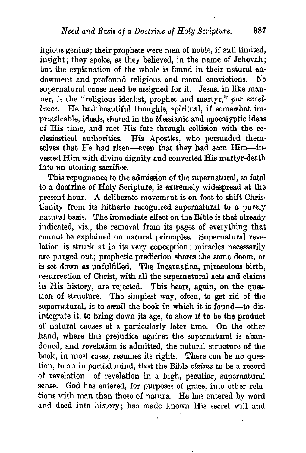ligious genius: their prophets were men of noble. if still limited. insight; they spoke, as they believed, in the name of Jehovah; but the explanation of the whole is found in their natural endowment and profound religious and moral convictions. No supernatural cause need be assigned for it. Jesus, in like manner, is the "religious idealist, prophet and martyr," par excellence. He had beautiful thoughts, spiritual, if somewhat impracticable, ideals, shared in the Messianic and apocalyptic ideas of His time, and met His fate through collision with the ecclesiastical authorities. His Apostles, who persuaded themselves that He had risen-even that they had seen Him-invested Him with divine dignity and converted His martyr-death into an atoning sacrifice.

This repugnance to the admission of the supernatural, so fatal to a doctrine of Holy Scripture, is extremely widespread at the present hour. A deliberate movement is on foot to shift Christianity from its hitherto recognized supernatural to a purely natural basis. The immediate effect on the Bible is that already indicated, viz., the removal from its pages of everything that cannot be explained on natural principles. Supernatural revelation is struck at in its very conception: miracles necessarily are purged out; prophetic prediction shares the same doom, or is set down as unfulfilled. The Incarnation, miraculous birth, resurrection of Christ, with all the supernatural acts and claims in His history, are rejected. This bears, again, on the question of structure. The simplest way, often, to get rid of the supernatural, is to assail the book in which it is found-to disintegrate it, to bring down its age, to show it to be the product of natural causes at a particularly later time. On the other hand, where this prejudice against the supernatural is abandoned, and revelation is admitted, the natural structure of the book, in most cases, resumes its rights. There can be no question, to an impartial mind, that the Bible claims to be a record of revelation-of revelation in a high, peculiar, supernatural sense. God has entered, for purposes of grace, into other relations with man than those of nature. He has entered by word and deed into history; has made known His secret will and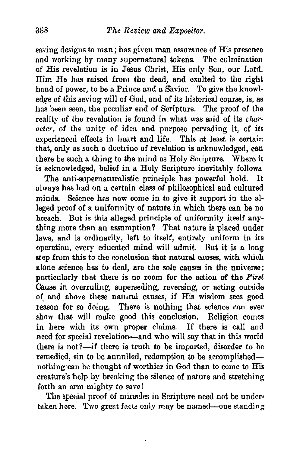eaving designs to man: has given man assurance of His presence and working by many snpernatural tokens. The culmination of His revelation is in Jesus Christ, His only Son, our Lord. Him He has raised from the dead, and exalted to the right hand of power, to be a Prince and a Savior. To give the knowledge of this saving will of God, and of its historical course, is, as has been scen, the peculiar end of Scripture. The proof of the reality of the revelation is found in what was said of its *char*acter. of the unity of idea and purpose pervading it, of its experienced effects in heart and life. This at least is certain that, only as such a doctrine of revelation is acknowledged, can there be such a thing to the mind as Holy Scripture. Where it is acknowledged, belief in a Holy Scripture inevitably follows.

The anti-supernaturalistic principle has powerful hold. It always has hud on a certain elass of philosophical and cultured minds. Science has now come in to give it support in the alleged proof of a uniformity of nature in which there can be no breach. But is this alleged principle of uniformity itself anything more than an assumption? That nature is placed under laws, and is ordinarily, left to itself, entirely uniform in its operation, every educated mind will admit. But it is a long step from this to the conclusion that natural causes, with which alone science has to deal, are the sole causes in the universe; particularly that there is no room for the action of the *First* Cause in overruling, superseding, reversing, or acting outside of and above these natural causes, if His wisdom sees good reason for so doing. There is nothing that science can ever show that will mukc good this conclusion. Religion comes in here with its own proper claims. If there is call and need for speeinl revelation-and who will say that in this world there is not?--if there is truth to be imparted, disorder to be remedied, sin to be annulled, redemption to be accomplishednothing can be thought of worthier in God than to come to His creature's help by breaking the silence of nature and stretching forth an arm mighty to save!

The special proof of miracles in Scripture need not be undertaken here. Two great facts only may be named-one standing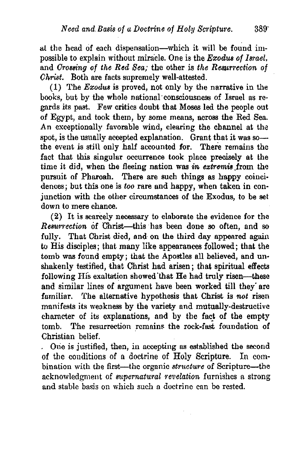at the head of each dispensation-which it will be found impossible to explain without miracle. One is the *Exodus of 18'1'ael.*  and Crossing of the Red Sea; the other is the Resurrection of *Ohrist.* Both are facts supremely well-attested.

(1) '1'he *Exodus* is proved, not only by the narrative in the books, but by the whole national· consciousness of Israel as regards its past. Few eritics doubt that Moses led the people out of Egypt, and took them, by some means, across the Red Sea. An exceptionally favorable wind, clearing the channel at the spot, is the usually accepted explanation. Grant that it was sothe event is still only half accounted for. There remains the fact that this singular occurrence took place precisely at the time it did, when the fleeing nation was in extremis from the pursuit of Pharoah. There are such things as happy coincidences; but this one is *too* rare and happy, when taken in conjunction with the other circumstances of the Exodus, to be set down to mere chance.

(2) It is scarcely necessary to elaborate the evidence for the *Resurrection* of Christ-this has been done so often, and so fully. That Christ died, and on the third day appeared again to His disciples; that many like appearances followed; that the tomb was found empty; that the Apostles all believed, and unshakenly testified, that Christ had arisen; that spiritual effects following His exaltation showed that He had truly risen-these and similar lines of argument have been worked till they" are familiar. The alternative hypothesis that Christ is *not* risen manifests its weakness by the variety and mutually-destructive character of its explanations, and by the fact of the empty tomb. The resurrection remains the rock-fast foundation of Christian belief.

. One is justified, then, in accepting as established the second of the conditions of a doctrine of Holy Scripture. In combination with the first-the organic *structure* of Scripture-the acknowledgment of *supernatural revelation* furnishes a strong and stable basis on which such a doctrine can be rested.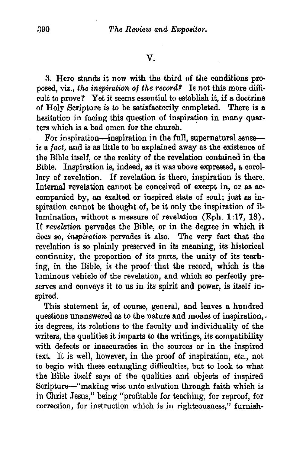3. Hero stands it now with the third of the conditions proposed, viz., *the inspiration of the record?* Is not this more difficult to prove? Yet it seems essential to establish it, if a doctrine of Holy Scripture is to be satisfactorily completed. There js a hesitation in facing this question of inspiration in many quarters which is a bad omen for the church, .

For inspiration-inspiration in the full, supernatural senseis a *fact,* and is as little to be explained away as the existence of the Bible itself, or the reality of the revelation contained in the Bible. Inspiration is, indeed, as it was above expressed, a corollary of revelation. If revelation is there, inspiration is there. Internal revelation cannot be conceived of except in, or as accompanied by, an exalted or inspired state of soul; just as inspiration cannot be thought. of, be it only the inspiration of illumination, without a measure of revelation (Eph. 1:17, 18). If *revelation* pervades the Bible, or in the degree in which it does so, *inspiration* pervades it also. The very fact that the revelation is so plainly preserved in its meaning, its historical continuity, the proportion of its purts, the unity of its tearhing, in the Bible, is the proof' that the record, which is the luminous vehicle of the revelation, and which so perfectly preserves and conveys it to us in its spirit and power, is itself inspired.

This statement is, of course, general, and leaves a hundred questions unanswered as to the nature and modes of inspiration,. its degrees, its relations to the faculty and individuality of the writers, the qualities it imparts to the writings, its compatibility with defects or inaccuracies in the sources or in the inspired text. It is well, however, in the proof of inspiration, etc., not to begin with these entangling difficulties, but to look to what the Bible itself says of the qualities and objects of inspired Scripture-"making wise unto salvation through faith which is in Christ Jesus," being "profitable for teaching, for reproof, for correction, for instruction which is in righteousness." furnish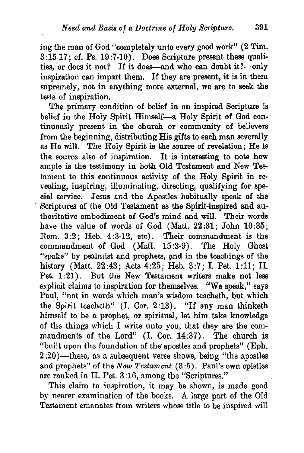ing the man of God "completely unto every good work" (2 Tim. 3:15-17; cf. Ps. 19:7-10). Does Scripture present these qualities, or does it not? If it does-and who can doubt it?-only inspiration can impart them. If they are present, it is in them supremely, not in anything more external, we are to seek the tests of inspiration.

The primary condition of belief in an inspired Scripture is belief in the Holy Spirit Himself-a Holy Spirit of God continuously present in the church or community of believers from the beginning, distributing His gifts to each man severally as He will. The Holy Spirit is the source of revelation; He is the source also of inspiration. It is interesting to note how ample is the testimony in both Old Testament and New Testament to this continuous activity of the Holy Spirit in revealing, inspiring, illuminating, directing, qualifying for special service. Jesus and the Apostles habitually speak of the Scriptures of the Old Testament as the Spirit-inspired and authoritative embodiment of God's mind and will. Their words have the value of words of God (Matt. 22:31; John 10:35; Rom.  $3:2$ ; Heb.  $4:3-12$ , etc). Their commandment is the commandment of God (Matt. 15:3-9). The Holy Ghost "spake" by psalmist and prophets, and in the teachings of the history (Matt. 22 :43; Acts 4 :25; Heb. 3:7; I. Pet. 1:11; II. Pet.  $1:21$ ). But the New Testament writers make not less explicit claims to inspiration for themselves. "We speak," says Paul, "not in words which man's wisdom teacheth, but which the Spirit tcacheth"  $(I. Cor. 2:13)$ . "If any man thinketh himself to be a prophet, or spiritual, let him take knowledge of the things which I write unto you, that they are the commandments of the Lord" (I. Cor. 14:37). The church is "built upon the foundation of the apostles and prophets" (Eph.  $2:20$ )—these, as a subsequent verse shows, being "the apostles" and prophets" of the New Testament  $(3.5)$ . Paul's own epistles are ranked in H. Pet. 3:16, among the "Scriptures."

This claim to inspiration, it may be shown, is made good by nearer examination of the books. A large part of the Old Testament emanates from writers whose title to be inspired will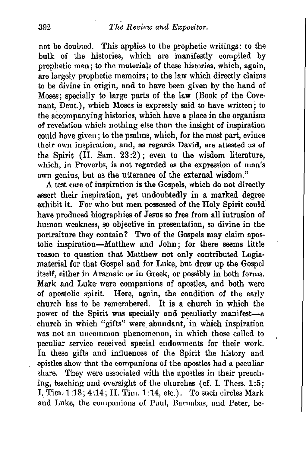not be doubted. This applies to the prophetic writings: to the bulk of the histories, which are manifestly compiled by prophetic men; to the materials of these histories, which, again, are largely prophetic memoirs; to the law which directly claims to be divine in origin, and to have been given by thc hand of Moses; specially to large parts of the law (Book of the Covenant, Deut.), which Moses is expressly said to have written; to the accompanying histories, which have a place in the organism of revelation which nothing else than the insight of inspiration could have given; to the psalms, which, for the most part, evince their own inspiration, and, as regards David, are attested as of the Spirit (H. Sam. 23 :2); even to the wisdom literature, which, in Proverbs, is not regarded as the expression of man's own genius, but as the utterance of the external wisdom."

 $\Lambda$  test case of inspiration is the Gospels, which do not directly assert their inspiration, yet undoubtedly in a marked degree exhibit it. For who but men possessed of the Holy Spirit could have produced biographies of Jesus so free from all iutrusion of human weakness, so objective in presentation, so divine in the portraiture they contain? Two of the Gospels may claim apostolic inspiration-Matthew and John; for there seems little Tenson to question that Mutthew not only contributed Logia. material for that Gospel and for Luke, but drew up the Gospel iteelf, either in Aramaic or in Greek, or possibly in both forms. Mark and Luke- were companions of apostles, and both were of apostolic spirit. Here, again, the condition of the early church has to be remembered. It is a church in which the power of the Spirit was specially and peculiarly manifest-u church in which "gifts" were abundant, in which inspiration was not an uncommon phenomenon, in which those called to peculiar servicc received special endowments for their work. In these gifts and influences of the Spirit the history and epistles show that the companions of the apostles had a peculiar share. They were associated with the apostles in their preaching, teaching and oversight of the churches (cf. I. Thess.  $1:5$ ; I. Tim.  $1:18$ ;  $4:14$ ; II. Tim.  $1:14$ , etc.). To such circles Mark and Luke, the companions of Paul, Barnabas, and Peter, be